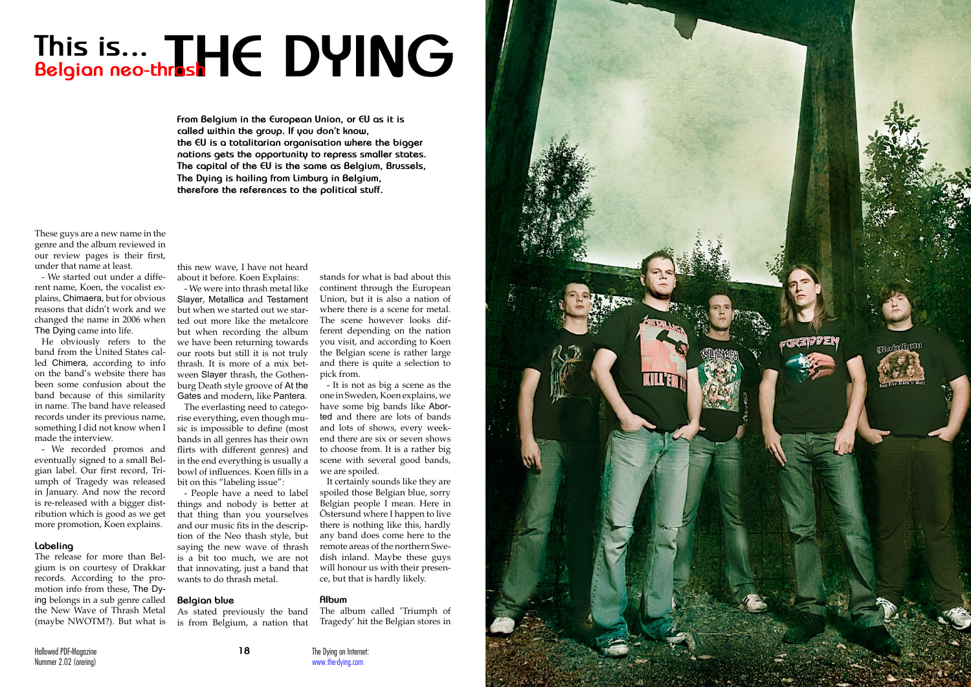



These guys are a new name in the genre and the album reviewed in our review pages is their first, under that name at least.

- We started out under a diffe rent name, Koen, the vocalist ex plains, Chimaera, but for obvious reasons that didn't work and we changed the name in 2006 when The Dying came into life.

He obviously refers to the band from the United States cal led Chimera, according to info on the band's website there has been some confusion about the band because of this similarity in name. The band have released records under its previous name, something I did not know when I made the interview.

- We recorded promos and eventually signed to a small Bel gian label. Our first record, Tri umph of Tragedy was released in January. And now the record is re-released with a bigger dist ribution which is good as we get more promotion, Koen explains.

# **Labeling**

The release for more than Bel gium is on courtesy of Drakkar records. According to the pro motion info from these, The Dy ing belongs in a sub genre called the New Wave of Thrash Metal (maybe NWOTM?). But what is

# **This is... Belgian neo-thrash THE DYING**

**From Belgium in the European Union, or EU as it is called within the group. If you don't know, the EU is a totalitarian organisation where the bigger nations gets the opportunity to repress smaller states. The capital of the EU is the same as Belgium, Brussels, The Dying is hailing from Limburg in Belgium, therefore the references to the political stuff.**

this new wave, I have not heard about it before. Koen Explains:

- We were into thrash metal like Slayer, Metallica and Testament but when we started out we star ted out more like the metalcore but when recording the album we have been returning towards our roots but still it is not truly thrash. It is more of a mix bet ween Slayer thrash, the Gothen burg Death style groove of At the Gates and modern, like Pantera .

The everlasting need to catego rise everything, even though mu sic is impossible to define (most bands in all genres has their own flirts with different genres) and in the end everything is usually a bowl of influences. Koen fills in a bit on this "labeling issue":

- People have a need to label things and nobody is better at that thing than you yourselves and our music fits in the descrip tion of the Neo thash style, but saying the new wave of thrash is a bit too much, we are not that innovating, just a band that wants to do thrash metal.

## **Belgian blue**

As stated previously the band is from Belgium, a nation that

stands for what is bad about this continent through the European Union, but it is also a nation of where there is a scene for metal. The scene however looks dif ferent depending on the nation you visit, and according to Koen the Belgian scene is rather large and there is quite a selection to pick from.

- It is not as big a scene as the one in Sweden, Koen explains, we have some big bands like Abor ted and there are lots of bands and lots of shows, every week end there are six or seven shows to choose from. It is a rather big scene with several good bands, we are spoiled.

It certainly sounds like they are spoiled those Belgian blue, sorry Belgian people I mean. Here in Östersund where I happen to live there is nothing like this, hardly any band does come here to the remote areas of the northern Swe dish inland. Maybe these guys will honour us with their presen ce, but that is hardly likely.

### **Album**

The album called 'Triumph of Tragedy' hit the Belgian stores in

The Dying on Internet: www.the-dying.com